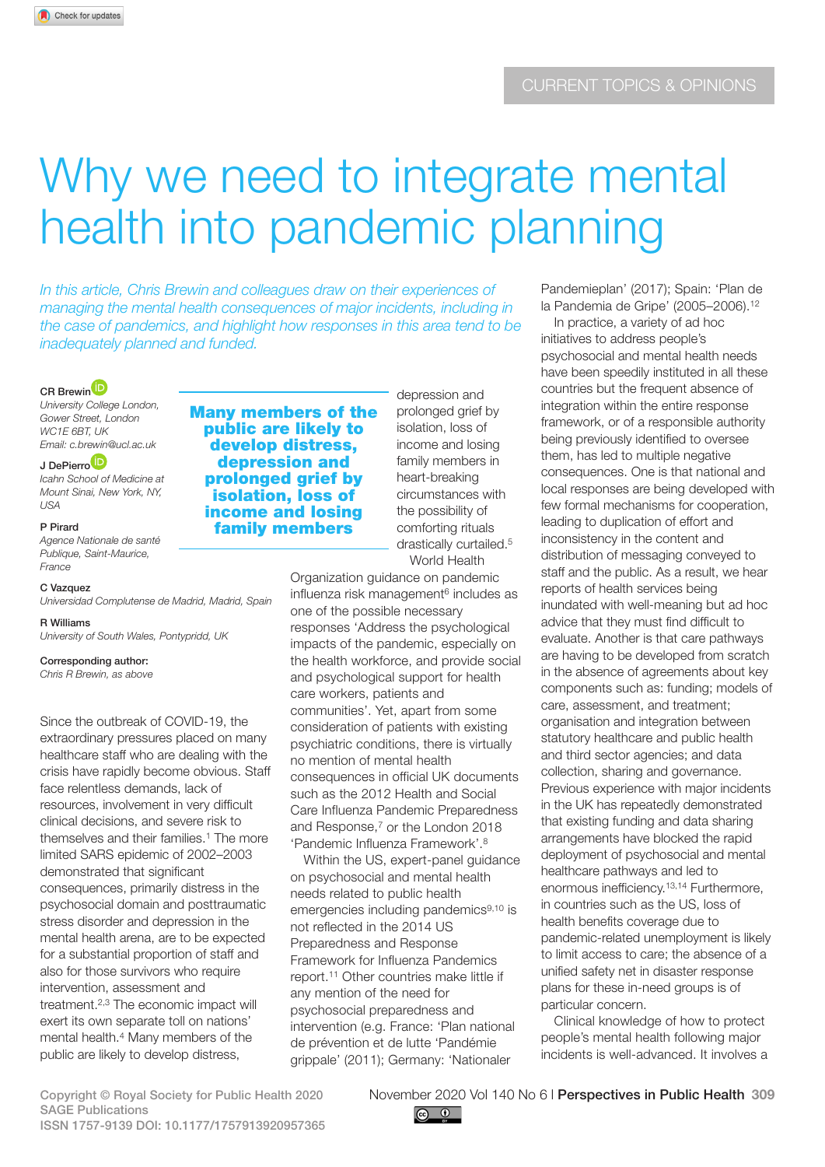# Why we need to integrate mental health into pandemic planning

*In this article, Chris Brewin and colleagues draw on their experiences of managing the mental health consequences of major incidents, including in the case of pandemics, and highlight how responses in this area tend to be inadequately planned and funded.*

## CR Brewin<sup>D</sup>

*University College London, Gower Street, London WC1E 6BT, UK Email: c.brewin@ucl.ac.uk*

# J DePierro<sup>D</sup>

*Icahn School of Medicine at Mount Sinai, New York, NY, USA*

#### P Pirard

*Agence Nationale de santé Publique, Saint-Maurice, France*

# C Vazquez

*Universidad Complutense de Madrid, Madrid, Spain*

### R Williams

*University of South Wales, Pontypridd, UK*

Corresponding author:

*Chris R Brewin, as above*

Since the outbreak of COVID-19, the extraordinary pressures placed on many healthcare staff who are dealing with the crisis have rapidly become obvious. Staff face relentless demands, lack of resources, involvement in very difficult clinical decisions, and severe risk to themselves and their families.<sup>1</sup> The more limited SARS epidemic of 2002–2003 demonstrated that significant consequences, primarily distress in the psychosocial domain and posttraumatic stress disorder and depression in the mental health arena, are to be expected for a substantial proportion of staff and also for those survivors who require intervention, assessment and treatment.2,3 The economic impact will exert its own separate toll on nations' mental health.4 Many members of the public are likely to develop distress,

Many members of the public are likely to develop distress, depression and prolonged grief by isolation, loss of income and losing family members

depression and prolonged grief by isolation, loss of income and losing family members in heart-breaking circumstances with the possibility of comforting rituals drastically curtailed.<sup>5</sup> World Health

Organization guidance on pandemic influenza risk management<sup>6</sup> includes as one of the possible necessary responses 'Address the psychological impacts of the pandemic, especially on the health workforce, and provide social and psychological support for health care workers, patients and communities'. Yet, apart from some consideration of patients with existing psychiatric conditions, there is virtually no mention of mental health consequences in official UK documents such as the 2012 Health and Social Care Influenza Pandemic Preparedness and Response,<sup>7</sup> or the London 2018 'Pandemic Influenza Framework'.8

Within the US, expert-panel quidance on psychosocial and mental health needs related to public health emergencies including pandemics<sup>9,10</sup> is not reflected in the 2014 US Preparedness and Response Framework for Influenza Pandemics report.11 Other countries make little if any mention of the need for psychosocial preparedness and intervention (e.g. France: 'Plan national de prévention et de lutte 'Pandémie grippale' (2011); Germany: 'Nationaler

Pandemieplan' (2017); Spain: 'Plan de la Pandemia de Gripe' (2005–2006).12

In practice, a variety of ad hoc initiatives to address people's psychosocial and mental health needs have been speedily instituted in all these countries but the frequent absence of integration within the entire response framework, or of a responsible authority being previously identified to oversee them, has led to multiple negative consequences. One is that national and local responses are being developed with few formal mechanisms for cooperation, leading to duplication of effort and inconsistency in the content and distribution of messaging conveyed to staff and the public. As a result, we hear reports of health services being inundated with well-meaning but ad hoc advice that they must find difficult to evaluate. Another is that care pathways are having to be developed from scratch in the absence of agreements about key components such as: funding; models of care, assessment, and treatment; organisation and integration between statutory healthcare and public health and third sector agencies; and data collection, sharing and governance. Previous experience with major incidents in the UK has repeatedly demonstrated that existing funding and data sharing arrangements have blocked the rapid deployment of psychosocial and mental healthcare pathways and led to enormous inefficiency.13,14 Furthermore, in countries such as the US, loss of health benefits coverage due to pandemic-related unemployment is likely to limit access to care; the absence of a unified safety net in disaster response plans for these in-need groups is of particular concern.

Clinical knowledge of how to protect people's mental health following major incidents is well-advanced. It involves a

SAGE Publications ISSN 1757-9139 DOI: 10.1177/1757913920957365

Copyright © Royal Society for Public Health 2020 November 2020 Vol 140 No 6 l Perspectives in Public Health 309

 $\circledcirc$   $\circledcirc$